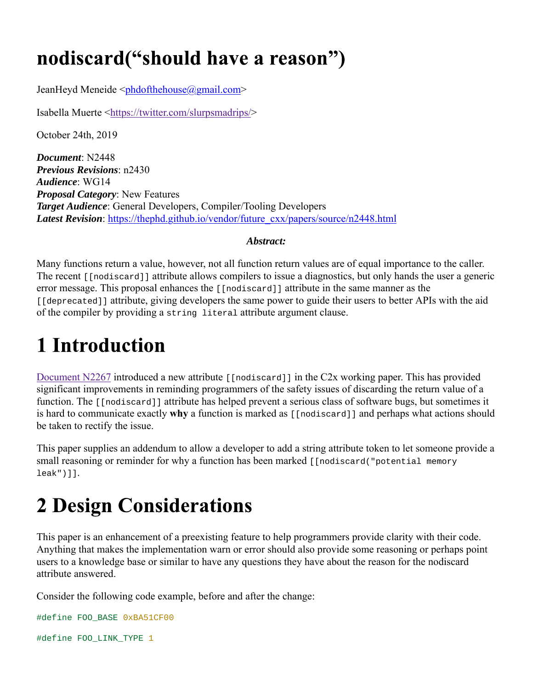### nodiscard("should have a reason")

JeanHeyd Meneide <phdofthehouse@gmail.com>

Isabella Muerte <https://twitter.com/slurpsmadrips/>

October 24th, 2019

*Document*: N2448 *Previous Revisions*: n2430 *Audience*: WG14 *Proposal Category*: New Features *Target Audience*: General Developers, Compiler/Tooling Developers *Latest Revision*: https://thephd.github.io/vendor/future\_cxx/papers/source/n2448.html

#### *Abstract:*

Many functions return a value, however, not all function return values are of equal importance to the caller. The recent [[nodiscard]] attribute allows compilers to issue a diagnostics, but only hands the user a generic error message. This proposal enhances the [[nodiscard]] attribute in the same manner as the [[deprecated]] attribute, giving developers the same power to guide their users to better APIs with the aid of the compiler by providing a string literal attribute argument clause.

### **1 Introduction**

Document N2267 introduced a new attribute [[nodiscard]] in the C2x working paper. This has provided significant improvements in reminding programmers of the safety issues of discarding the return value of a function. The [[nodiscard]] attribute has helped prevent a serious class of software bugs, but sometimes it is hard to communicate exactly **why** a function is marked as [[nodiscard]] and perhaps what actions should be taken to rectify the issue.

This paper supplies an addendum to allow a developer to add a string attribute token to let someone provide a small reasoning or reminder for why a function has been marked [[nodiscard("potential memory leak")]].

# **2 Design Considerations**

This paper is an enhancement of a preexisting feature to help programmers provide clarity with their code. Anything that makes the implementation warn or error should also provide some reasoning or perhaps point users to a knowledge base or similar to have any questions they have about the reason for the nodiscard attribute answered.

Consider the following code example, before and after the change:

```
#define FOO_BASE 0xBA51CF00
#define FOO_LINK_TYPE 1
```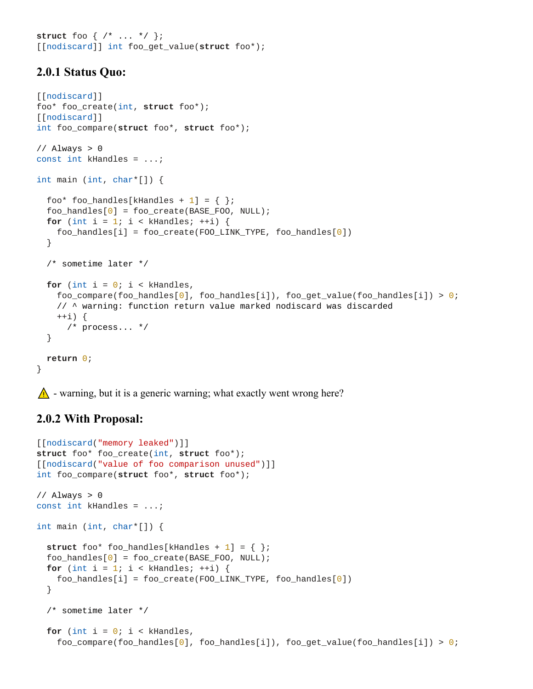**struct** foo { /\* ... \*/ }; [[nodiscard]] int foo\_get\_value(**struct** foo\*);

#### **2.0.1 Status Quo:**

```
[[nodiscard]] 
foo* foo_create(int, struct foo*);
[[nodiscard]] 
int foo_compare(struct foo*, struct foo*);
// Always > 0
const int kHandles = ...;
int main (int, char*[]) {
  foo* foo_handles[kHandles + 1] = { };
   foo_handles[0] = foo_create(BASE_FOO, NULL);
  for (int i = 1; i < k Handles; +i) {
     foo_handles[i] = foo_create(FOO_LINK_TYPE, foo_handles[0])
   }
  /* sometime later */
  for (int i = 0; i < k Handles,
     foo_compare(foo_handles[0], foo_handles[i]), foo_get_value(foo_handles[i]) > 0; 
    // ^ warning: function return value marked nodiscard was discarded
    ++i) {
      /* process... */
   }
  return 0;
}
```
 $\bigwedge$  - warning, but it is a generic warning; what exactly went wrong here?

#### **2.0.2 With Proposal:**

```
[[nodiscard("memory leaked")]] 
struct foo* foo_create(int, struct foo*);
[[nodiscard("value of foo comparison unused")]] 
int foo_compare(struct foo*, struct foo*);
// Always > 0
const int kHandles = ...;
int main (int, char*[]) {
  struct foo* foo_handles[kHandles + 1] = { };
  foo\_handles[0] = foo\_create(BASE_FOO, NULL);for (int i = 1; i < k Handles; +i) {
     foo_handles[i] = foo_create(FOO_LINK_TYPE, foo_handles[0])
   }
  /* sometime later */
  for (int i = 0; i < k Handles,
     foo_compare(foo_handles[0], foo_handles[i]), foo_get_value(foo_handles[i]) > 0;
```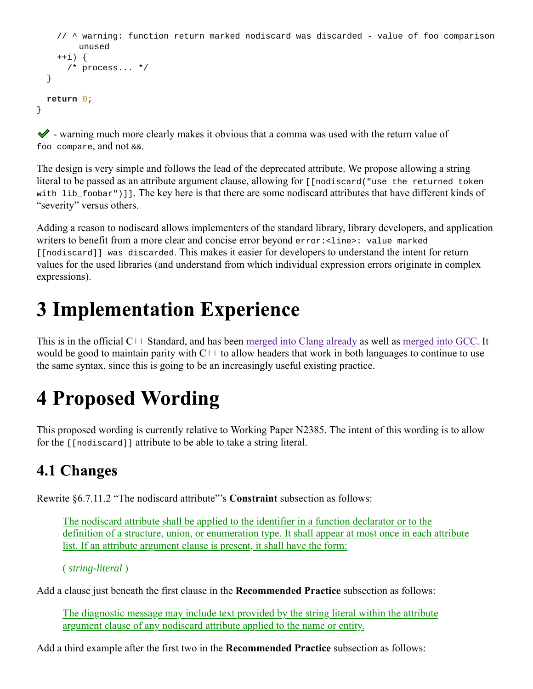```
// ^ warning: function return marked nodiscard was discarded - value of foo comparison 
      unused
  ++i) {
    /* process... */
 }
return 0;
```
 $\blacktriangleright$  - warning much more clearly makes it obvious that a comma was used with the return value of foo\_compare, and not &&.

The design is very simple and follows the lead of the deprecated attribute. We propose allowing a string literal to be passed as an attribute argument clause, allowing for [[nodiscard("use the returned token with lib\_foobar")]]. The key here is that there are some nodiscard attributes that have different kinds of "severity" versus others.

Adding a reason to nodiscard allows implementers of the standard library, library developers, and application writers to benefit from a more clear and concise error beyond error:<line>: value marked [[nodiscard]] was discarded. This makes it easier for developers to understand the intent for return values for the used libraries (and understand from which individual expression errors originate in complex expressions).

### **3 Implementation Experience**

This is in the official C++ Standard, and has been merged into Clang already as well as merged into GCC. It would be good to maintain parity with C++ to allow headers that work in both languages to continue to use the same syntax, since this is going to be an increasingly useful existing practice.

## **4 Proposed Wording**

This proposed wording is currently relative to Working Paper N2385. The intent of this wording is to allow for the [[nodiscard]] attribute to be able to take a string literal.

### 4.1 Changes

}

Rewrite §6.7.11.2 "The nodiscard attribute"'s **Constraint** subsection as follows:

The nodiscard attribute shall be applied to the identifier in a function declarator or to the definition of a structure, union, or enumeration type. It shall appear at most once in each attribute list. If an attribute argument clause is present, it shall have the form:

( *string-literal* )

Add a clause just beneath the first clause in the **Recommended Practice** subsection as follows:

The diagnostic message may include text provided by the string literal within the attribute argument clause of any nodiscard attribute applied to the name or entity.

Add a third example after the first two in the **Recommended Practice** subsection as follows: